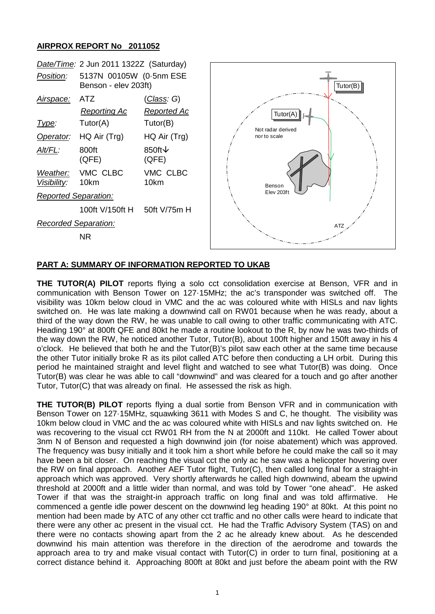### **AIRPROX REPORT No 2011052**



### **PART A: SUMMARY OF INFORMATION REPORTED TO UKAB**

**THE TUTOR(A) PILOT** reports flying a solo cct consolidation exercise at Benson, VFR and in communication with Benson Tower on 127·15MHz; the ac's transponder was switched off. The visibility was 10km below cloud in VMC and the ac was coloured white with HISLs and nav lights switched on. He was late making a downwind call on RW01 because when he was ready, about a third of the way down the RW, he was unable to call owing to other traffic communicating with ATC. Heading 190° at 800ft QFE and 80kt he made a routine lookout to the R, by now he was two-thirds of the way down the RW, he noticed another Tutor, Tutor(B), about 100ft higher and 150ft away in his 4 o'clock. He believed that both he and the Tutor(B)'s pilot saw each other at the same time because the other Tutor initially broke R as its pilot called ATC before then conducting a LH orbit. During this period he maintained straight and level flight and watched to see what Tutor(B) was doing. Once Tutor(B) was clear he was able to call "downwind" and was cleared for a touch and go after another Tutor, Tutor(C) that was already on final. He assessed the risk as high.

**THE TUTOR(B) PILOT** reports flying a dual sortie from Benson VFR and in communication with Benson Tower on 127·15MHz, squawking 3611 with Modes S and C, he thought. The visibility was 10km below cloud in VMC and the ac was coloured white with HISLs and nav lights switched on. He was recovering to the visual cct RW01 RH from the N at 2000ft and 110kt. He called Tower about 3nm N of Benson and requested a high downwind join (for noise abatement) which was approved. The frequency was busy initially and it took him a short while before he could make the call so it may have been a bit closer. On reaching the visual cct the only ac he saw was a helicopter hovering over the RW on final approach. Another AEF Tutor flight, Tutor(C), then called long final for a straight-in approach which was approved. Very shortly afterwards he called high downwind, abeam the upwind threshold at 2000ft and a little wider than normal, and was told by Tower "one ahead". He asked Tower if that was the straight-in approach traffic on long final and was told affirmative. He commenced a gentle idle power descent on the downwind leg heading 190° at 80kt. At this point no mention had been made by ATC of any other cct traffic and no other calls were heard to indicate that there were any other ac present in the visual cct. He had the Traffic Advisory System (TAS) on and there were no contacts showing apart from the 2 ac he already knew about. As he descended downwind his main attention was therefore in the direction of the aerodrome and towards the approach area to try and make visual contact with Tutor(C) in order to turn final, positioning at a correct distance behind it. Approaching 800ft at 80kt and just before the abeam point with the RW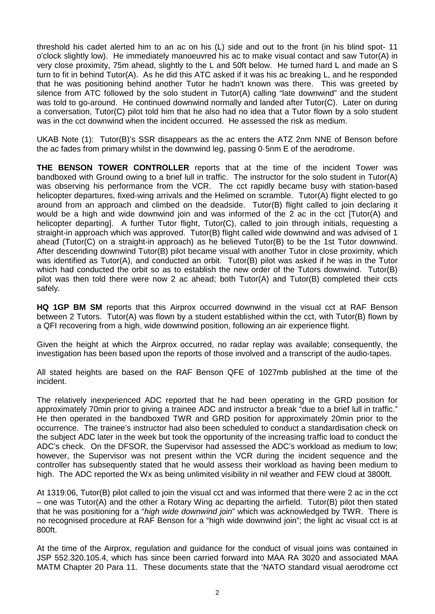threshold his cadet alerted him to an ac on his (L) side and out to the front (in his blind spot- 11 o'clock slightly low). He immediately manoeuvred his ac to make visual contact and saw Tutor(A) in very close proximity, 75m ahead, slightly to the L and 50ft below. He turned hard L and made an S turn to fit in behind Tutor(A). As he did this ATC asked if it was his ac breaking L, and he responded that he was positioning behind another Tutor he hadn't known was there. This was greeted by silence from ATC followed by the solo student in Tutor(A) calling "late downwind" and the student was told to go-around. He continued downwind normally and landed after Tutor(C). Later on during a conversation, Tutor(C) pilot told him that he also had no idea that a Tutor flown by a solo student was in the cct downwind when the incident occurred. He assessed the risk as medium.

UKAB Note (1): Tutor(B)'s SSR disappears as the ac enters the ATZ 2nm NNE of Benson before the ac fades from primary whilst in the downwind leg, passing 0·5nm E of the aerodrome.

**THE BENSON TOWER CONTROLLER** reports that at the time of the incident Tower was bandboxed with Ground owing to a brief lull in traffic. The instructor for the solo student in Tutor(A) was observing his performance from the VCR. The cct rapidly became busy with station-based helicopter departures, fixed-wing arrivals and the Helimed on scramble. Tutor(A) flight elected to go around from an approach and climbed on the deadside. Tutor(B) flight called to join declaring it would be a high and wide downwind join and was informed of the 2 ac in the cct [Tutor(A) and helicopter departing]. A further Tutor flight, Tutor(C), called to join through initials, requesting a straight-in approach which was approved. Tutor(B) flight called wide downwind and was advised of 1 ahead (Tutor(C) on a straight-in approach) as he believed Tutor(B) to be the 1st Tutor downwind. After descending downwind Tutor(B) pilot became visual with another Tutor in close proximity, which was identified as Tutor(A), and conducted an orbit. Tutor(B) pilot was asked if he was in the Tutor which had conducted the orbit so as to establish the new order of the Tutors downwind. Tutor(B) pilot was then told there were now 2 ac ahead; both Tutor(A) and Tutor(B) completed their ccts safely.

**HQ 1GP BM SM** reports that this Airprox occurred downwind in the visual cct at RAF Benson between 2 Tutors. Tutor(A) was flown by a student established within the cct, with Tutor(B) flown by a QFI recovering from a high, wide downwind position, following an air experience flight.

Given the height at which the Airprox occurred, no radar replay was available; consequently, the investigation has been based upon the reports of those involved and a transcript of the audio-tapes.

All stated heights are based on the RAF Benson QFE of 1027mb published at the time of the incident.

The relatively inexperienced ADC reported that he had been operating in the GRD position for approximately 70min prior to giving a trainee ADC and instructor a break "due to a brief lull in traffic." He then operated in the bandboxed TWR and GRD position for approximately 20min prior to the occurrence. The trainee's instructor had also been scheduled to conduct a standardisation check on the subject ADC later in the week but took the opportunity of the increasing traffic load to conduct the ADC's check. On the DFSOR, the Supervisor had assessed the ADC's workload as medium to low; however, the Supervisor was not present within the VCR during the incident sequence and the controller has subsequently stated that he would assess their workload as having been medium to high. The ADC reported the Wx as being unlimited visibility in nil weather and FEW cloud at 3800ft.

At 1319:06, Tutor(B) pilot called to join the visual cct and was informed that there were 2 ac in the cct – one was Tutor(A) and the other a Rotary Wing ac departing the airfield. Tutor(B) pilot then stated that he was positioning for a "*high wide downwind join*" which was acknowledged by TWR. There is no recognised procedure at RAF Benson for a "high wide downwind join"; the light ac visual cct is at 800ft.

At the time of the Airprox, regulation and guidance for the conduct of visual joins was contained in JSP 552.320.105.4, which has since been carried forward into MAA RA 3020 and associated MAA MATM Chapter 20 Para 11. These documents state that the 'NATO standard visual aerodrome cct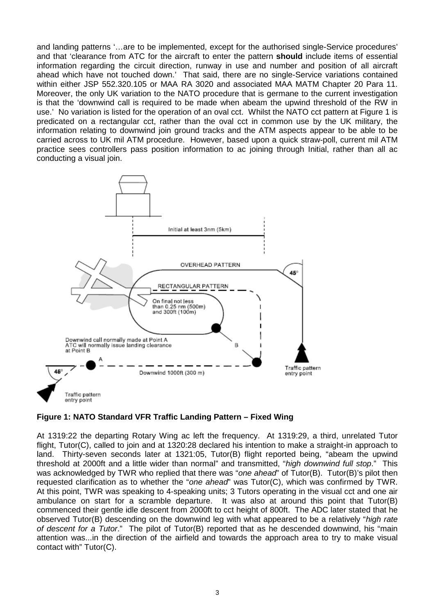and landing patterns '…are to be implemented, except for the authorised single-Service procedures' and that 'clearance from ATC for the aircraft to enter the pattern **should** include items of essential information regarding the circuit direction, runway in use and number and position of all aircraft ahead which have not touched down.' That said, there are no single-Service variations contained within either JSP 552.320.105 or MAA RA 3020 and associated MAA MATM Chapter 20 Para 11. Moreover, the only UK variation to the NATO procedure that is germane to the current investigation is that the 'downwind call is required to be made when abeam the upwind threshold of the RW in use.' No variation is listed for the operation of an oval cct. Whilst the NATO cct pattern at Figure 1 is predicated on a rectangular cct, rather than the oval cct in common use by the UK military, the information relating to downwind join ground tracks and the ATM aspects appear to be able to be carried across to UK mil ATM procedure. However, based upon a quick straw-poll, current mil ATM practice sees controllers pass position information to ac joining through Initial, rather than all ac conducting a visual join.



# **Figure 1: NATO Standard VFR Traffic Landing Pattern – Fixed Wing**

At 1319:22 the departing Rotary Wing ac left the frequency. At 1319:29, a third, unrelated Tutor flight, Tutor(C), called to join and at 1320:28 declared his intention to make a straight-in approach to land. Thirty-seven seconds later at 1321:05, Tutor(B) flight reported being, "abeam the upwind threshold at 2000ft and a little wider than normal" and transmitted, "*high downwind full stop*." This was acknowledged by TWR who replied that there was "*one ahead*" of Tutor(B). Tutor(B)'s pilot then requested clarification as to whether the "*one ahead*" was Tutor(C), which was confirmed by TWR. At this point, TWR was speaking to 4-speaking units; 3 Tutors operating in the visual cct and one air ambulance on start for a scramble departure. It was also at around this point that Tutor(B) commenced their gentle idle descent from 2000ft to cct height of 800ft. The ADC later stated that he observed Tutor(B) descending on the downwind leg with what appeared to be a relatively "*high rate of descent for a Tutor*." The pilot of Tutor(B) reported that as he descended downwind, his "main attention was...in the direction of the airfield and towards the approach area to try to make visual contact with" Tutor(C).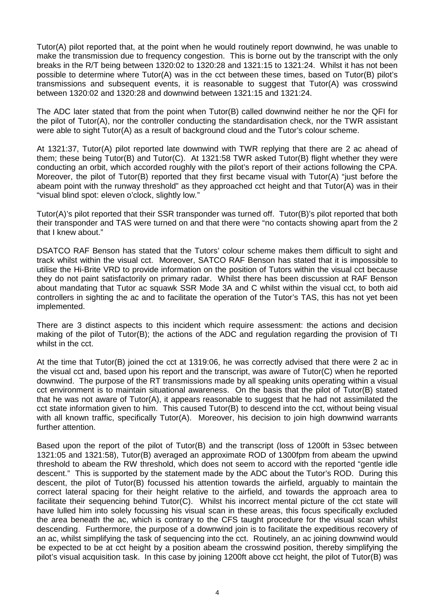Tutor(A) pilot reported that, at the point when he would routinely report downwind, he was unable to make the transmission due to frequency congestion. This is borne out by the transcript with the only breaks in the R/T being between 1320:02 to 1320:28 and 1321:15 to 1321:24. Whilst it has not been possible to determine where Tutor(A) was in the cct between these times, based on Tutor(B) pilot's transmissions and subsequent events, it is reasonable to suggest that Tutor(A) was crosswind between 1320:02 and 1320:28 and downwind between 1321:15 and 1321:24.

The ADC later stated that from the point when Tutor(B) called downwind neither he nor the QFI for the pilot of Tutor(A), nor the controller conducting the standardisation check, nor the TWR assistant were able to sight Tutor(A) as a result of background cloud and the Tutor's colour scheme.

At 1321:37, Tutor(A) pilot reported late downwind with TWR replying that there are 2 ac ahead of them; these being Tutor(B) and Tutor(C). At 1321:58 TWR asked Tutor(B) flight whether they were conducting an orbit, which accorded roughly with the pilot's report of their actions following the CPA. Moreover, the pilot of Tutor(B) reported that they first became visual with Tutor(A) "just before the abeam point with the runway threshold" as they approached cct height and that Tutor(A) was in their "visual blind spot: eleven o'clock, slightly low*.*"

Tutor(A)'s pilot reported that their SSR transponder was turned off. Tutor(B)'s pilot reported that both their transponder and TAS were turned on and that there were "no contacts showing apart from the 2 that I knew about."

DSATCO RAF Benson has stated that the Tutors' colour scheme makes them difficult to sight and track whilst within the visual cct. Moreover, SATCO RAF Benson has stated that it is impossible to utilise the Hi-Brite VRD to provide information on the position of Tutors within the visual cct because they do not paint satisfactorily on primary radar. Whilst there has been discussion at RAF Benson about mandating that Tutor ac squawk SSR Mode 3A and C whilst within the visual cct, to both aid controllers in sighting the ac and to facilitate the operation of the Tutor's TAS, this has not yet been implemented.

There are 3 distinct aspects to this incident which require assessment: the actions and decision making of the pilot of Tutor(B); the actions of the ADC and regulation regarding the provision of TI whilst in the cct.

At the time that Tutor(B) joined the cct at 1319:06, he was correctly advised that there were 2 ac in the visual cct and, based upon his report and the transcript, was aware of Tutor(C) when he reported downwind. The purpose of the RT transmissions made by all speaking units operating within a visual cct environment is to maintain situational awareness. On the basis that the pilot of Tutor(B) stated that he was not aware of Tutor(A), it appears reasonable to suggest that he had not assimilated the cct state information given to him. This caused Tutor(B) to descend into the cct, without being visual with all known traffic, specifically Tutor(A). Moreover, his decision to join high downwind warrants further attention.

Based upon the report of the pilot of Tutor(B) and the transcript (loss of 1200ft in 53sec between 1321:05 and 1321:58), Tutor(B) averaged an approximate ROD of 1300fpm from abeam the upwind threshold to abeam the RW threshold, which does not seem to accord with the reported "gentle idle descent." This is supported by the statement made by the ADC about the Tutor's ROD. During this descent, the pilot of Tutor(B) focussed his attention towards the airfield, arguably to maintain the correct lateral spacing for their height relative to the airfield, and towards the approach area to facilitate their sequencing behind Tutor(C). Whilst his incorrect mental picture of the cct state will have lulled him into solely focussing his visual scan in these areas, this focus specifically excluded the area beneath the ac, which is contrary to the CFS taught procedure for the visual scan whilst descending. Furthermore, the purpose of a downwind join is to facilitate the expeditious recovery of an ac, whilst simplifying the task of sequencing into the cct. Routinely, an ac joining downwind would be expected to be at cct height by a position abeam the crosswind position, thereby simplifying the pilot's visual acquisition task. In this case by joining 1200ft above cct height, the pilot of Tutor(B) was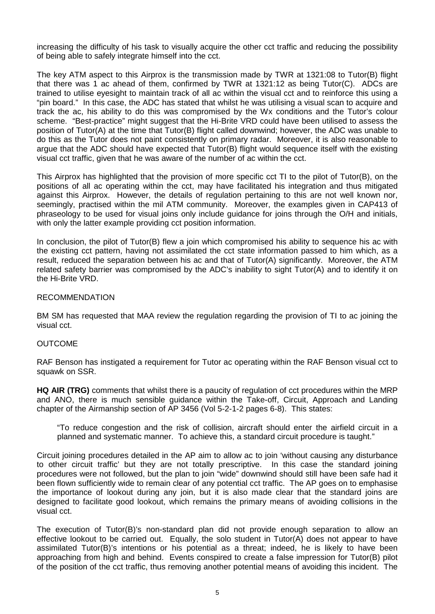increasing the difficulty of his task to visually acquire the other cct traffic and reducing the possibility of being able to safely integrate himself into the cct.

The key ATM aspect to this Airprox is the transmission made by TWR at 1321:08 to Tutor(B) flight that there was 1 ac ahead of them, confirmed by TWR at 1321:12 as being Tutor(C). ADCs are trained to utilise eyesight to maintain track of all ac within the visual cct and to reinforce this using a "pin board." In this case, the ADC has stated that whilst he was utilising a visual scan to acquire and track the ac, his ability to do this was compromised by the Wx conditions and the Tutor's colour scheme. "Best-practice" might suggest that the Hi-Brite VRD could have been utilised to assess the position of Tutor(A) at the time that Tutor(B) flight called downwind; however, the ADC was unable to do this as the Tutor does not paint consistently on primary radar. Moreover, it is also reasonable to argue that the ADC should have expected that Tutor(B) flight would sequence itself with the existing visual cct traffic, given that he was aware of the number of ac within the cct.

This Airprox has highlighted that the provision of more specific cct TI to the pilot of Tutor(B), on the positions of all ac operating within the cct, may have facilitated his integration and thus mitigated against this Airprox. However, the details of regulation pertaining to this are not well known nor, seemingly, practised within the mil ATM community. Moreover, the examples given in CAP413 of phraseology to be used for visual joins only include guidance for joins through the O/H and initials, with only the latter example providing cct position information.

In conclusion, the pilot of Tutor(B) flew a join which compromised his ability to sequence his ac with the existing cct pattern, having not assimilated the cct state information passed to him which, as a result, reduced the separation between his ac and that of Tutor(A) significantly. Moreover, the ATM related safety barrier was compromised by the ADC's inability to sight Tutor(A) and to identify it on the Hi-Brite VRD.

### RECOMMENDATION

BM SM has requested that MAA review the regulation regarding the provision of TI to ac joining the visual cct.

#### OUTCOME

RAF Benson has instigated a requirement for Tutor ac operating within the RAF Benson visual cct to squawk on SSR.

**HQ AIR (TRG)** comments that whilst there is a paucity of regulation of cct procedures within the MRP and ANO, there is much sensible guidance within the Take-off, Circuit, Approach and Landing chapter of the Airmanship section of AP 3456 (Vol 5-2-1-2 pages 6-8). This states:

"To reduce congestion and the risk of collision, aircraft should enter the airfield circuit in a planned and systematic manner. To achieve this, a standard circuit procedure is taught."

Circuit joining procedures detailed in the AP aim to allow ac to join 'without causing any disturbance to other circuit traffic' but they are not totally prescriptive. In this case the standard joining procedures were not followed, but the plan to join "wide" downwind should still have been safe had it been flown sufficiently wide to remain clear of any potential cct traffic. The AP goes on to emphasise the importance of lookout during any join, but it is also made clear that the standard joins are designed to facilitate good lookout, which remains the primary means of avoiding collisions in the visual cct.

The execution of Tutor(B)'s non-standard plan did not provide enough separation to allow an effective lookout to be carried out. Equally, the solo student in Tutor(A) does not appear to have assimilated Tutor(B)'s intentions or his potential as a threat; indeed, he is likely to have been approaching from high and behind. Events conspired to create a false impression for Tutor(B) pilot of the position of the cct traffic, thus removing another potential means of avoiding this incident. The